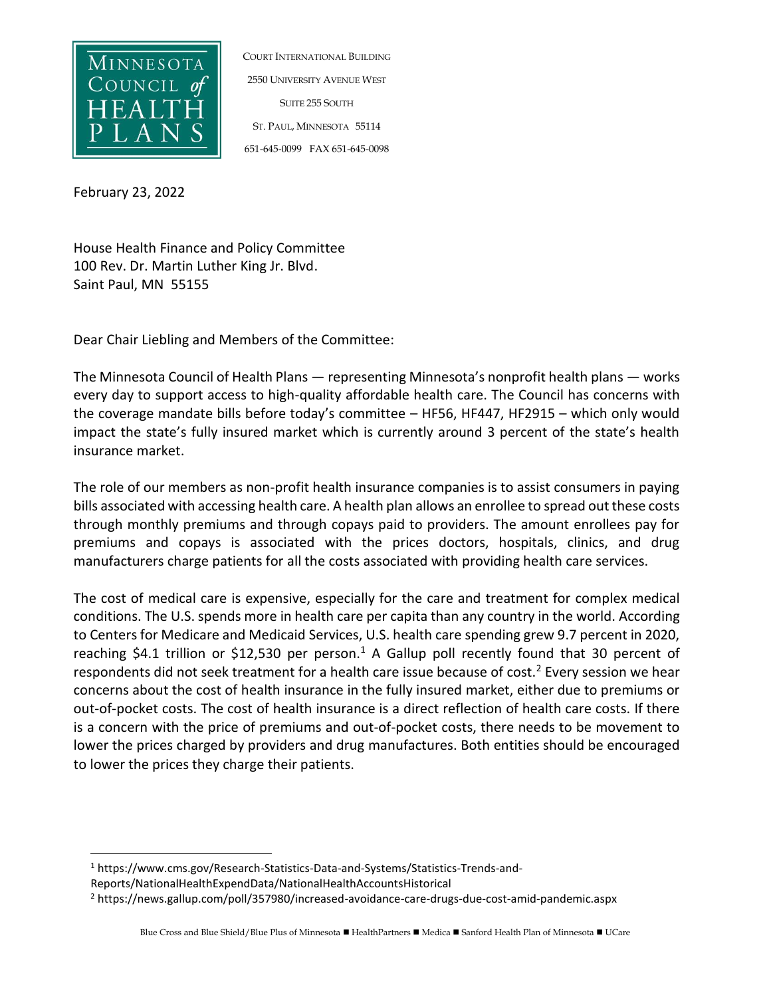

COURT INTERNATIONAL BUILDING 2550 UNIVERSITY AVENUE WEST SUITE 255 SOUTH ST. PAUL, MINNESOTA 55114 651-645-0099 FAX 651-645-0098

February 23, 2022

House Health Finance and Policy Committee 100 Rev. Dr. Martin Luther King Jr. Blvd. Saint Paul, MN 55155

Dear Chair Liebling and Members of the Committee:

The Minnesota Council of Health Plans — representing Minnesota's nonprofit health plans — works every day to support access to high-quality affordable health care. The Council has concerns with the coverage mandate bills before today's committee – HF56, HF447, HF2915 – which only would impact the state's fully insured market which is currently around 3 percent of the state's health insurance market.

The role of our members as non-profit health insurance companies is to assist consumers in paying bills associated with accessing health care. A health plan allows an enrollee to spread out these costs through monthly premiums and through copays paid to providers. The amount enrollees pay for premiums and copays is associated with the prices doctors, hospitals, clinics, and drug manufacturers charge patients for all the costs associated with providing health care services.

The cost of medical care is expensive, especially for the care and treatment for complex medical conditions. The U.S. spends more in health care per capita than any country in the world. According to Centers for Medicare and Medicaid Services, U.S. health care spending grew 9.7 percent in 2020, reaching \$4.1 trillion or \$12,530 per person.<sup>1</sup> A Gallup poll recently found that 30 percent of respondents did not seek treatment for a health care issue because of cost.<sup>2</sup> Every session we hear concerns about the cost of health insurance in the fully insured market, either due to premiums or out-of-pocket costs. The cost of health insurance is a direct reflection of health care costs. If there is a concern with the price of premiums and out-of-pocket costs, there needs to be movement to lower the prices charged by providers and drug manufactures. Both entities should be encouraged to lower the prices they charge their patients.

<sup>1</sup> https://www.cms.gov/Research-Statistics-Data-and-Systems/Statistics-Trends-and-Reports/NationalHealthExpendData/NationalHealthAccountsHistorical

<sup>2</sup> https://news.gallup.com/poll/357980/increased-avoidance-care-drugs-due-cost-amid-pandemic.aspx